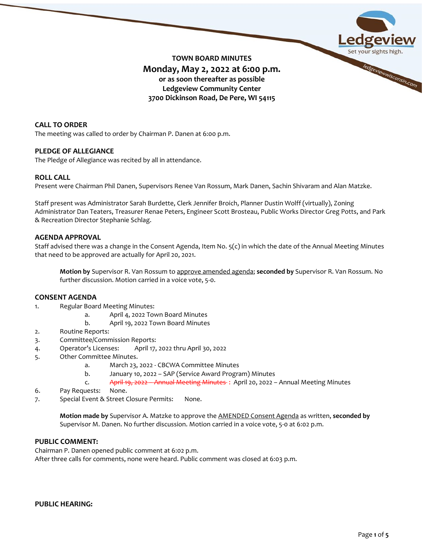

**TOWN BOARD MINUTES Monday, May 2, 2022 at 6:00 p.m. or as soon thereafter as possible Ledgeview Community Center 3700 Dickinson Road, De Pere, WI 54115**

# **CALL TO ORDER**

The meeting was called to order by Chairman P. Danen at 6:00 p.m.

## **PLEDGE OF ALLEGIANCE**

The Pledge of Allegiance was recited by all in attendance.

## **ROLL CALL**

Present were Chairman Phil Danen, Supervisors Renee Van Rossum, Mark Danen, Sachin Shivaram and Alan Matzke.

Staff present was Administrator Sarah Burdette, Clerk Jennifer Broich, Planner Dustin Wolff (virtually), Zoning Administrator Dan Teaters, Treasurer Renae Peters, Engineer Scott Brosteau, Public Works Director Greg Potts, and Park & Recreation Director Stephanie Schlag.

## **AGENDA APPROVAL**

Staff advised there was a change in the Consent Agenda, Item No. 5(c) in which the date of the Annual Meeting Minutes that need to be approved are actually for April 20, 2021.

**Motion by** Supervisor R. Van Rossum to approve amended agenda; **seconded by** Supervisor R. Van Rossum. No further discussion. Motion carried in a voice vote, 5-0.

## **CONSENT AGENDA**

- 1. Regular Board Meeting Minutes:
	- a. April 4, 2022 Town Board Minutes
	- b. April 19, 2022 Town Board Minutes
- 2. Routine Reports:
- 3. Committee/Commission Reports:
- 4. Operator's Licenses: April 17, 2022 thru April 30, 2022
- 5. Other Committee Minutes.
	- a. March 23, 2022 CBCWA Committee Minutes
	- b. January 10, 2022 SAP (Service Award Program) Minutes
	- c. April 19, 2022 Annual Meeting Minutes : April 20, 2022 Annual Meeting Minutes
- 6. Pay Requests: None.
- 7. Special Event & Street Closure Permits: None.

**Motion made by** Supervisor A. Matzke to approve the AMENDED Consent Agenda as written, **seconded by** Supervisor M. Danen. No further discussion. Motion carried in a voice vote, 5-0 at 6:02 p.m.

# **PUBLIC COMMENT:**

Chairman P. Danen opened public comment at 6:02 p.m. After three calls for comments, none were heard. Public comment was closed at 6:03 p.m.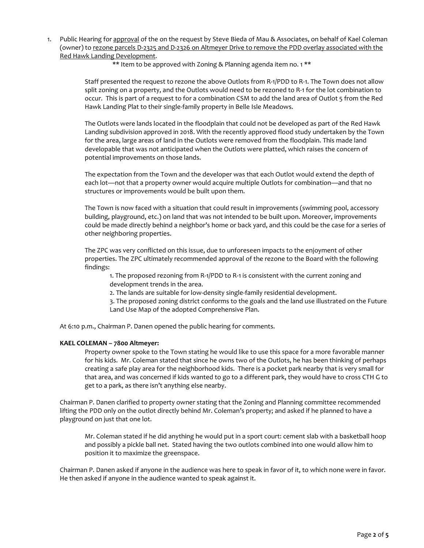1. Public Hearing for approval of the on the request by Steve Bieda of Mau & Associates, on behalf of Kael Coleman (owner) to rezone parcels D-2325 and D-2326 on Altmeyer Drive to remove the PDD overlay associated with the Red Hawk Landing Development.

\*\* Item to be approved with Zoning & Planning agenda item no. 1 \*\*

Staff presented the request to rezone the above Outlots from R-1/PDD to R-1. The Town does not allow split zoning on a property, and the Outlots would need to be rezoned to R-1 for the lot combination to occur. This is part of a request to for a combination CSM to add the land area of Outlot 5 from the Red Hawk Landing Plat to their single-family property in Belle Isle Meadows.

The Outlots were lands located in the floodplain that could not be developed as part of the Red Hawk Landing subdivision approved in 2018. With the recently approved flood study undertaken by the Town for the area, large areas of land in the Outlots were removed from the floodplain. This made land developable that was not anticipated when the Outlots were platted, which raises the concern of potential improvements on those lands.

The expectation from the Town and the developer was that each Outlot would extend the depth of each lot—not that a property owner would acquire multiple Outlots for combination—and that no structures or improvements would be built upon them.

The Town is now faced with a situation that could result in improvements (swimming pool, accessory building, playground, etc.) on land that was not intended to be built upon. Moreover, improvements could be made directly behind a neighbor's home or back yard, and this could be the case for a series of other neighboring properties.

The ZPC was very conflicted on this issue, due to unforeseen impacts to the enjoyment of other properties. The ZPC ultimately recommended approval of the rezone to the Board with the following findings:

1. The proposed rezoning from R-1/PDD to R-1 is consistent with the current zoning and development trends in the area.

2. The lands are suitable for low-density single-family residential development.

3. The proposed zoning district conforms to the goals and the land use illustrated on the Future Land Use Map of the adopted Comprehensive Plan.

At 6:10 p.m., Chairman P. Danen opened the public hearing for comments.

#### **KAEL COLEMAN – 7800 Altmeyer:**

Property owner spoke to the Town stating he would like to use this space for a more favorable manner for his kids. Mr. Coleman stated that since he owns two of the Outlots, he has been thinking of perhaps creating a safe play area for the neighborhood kids. There is a pocket park nearby that is very small for that area, and was concerned if kids wanted to go to a different park, they would have to cross CTH G to get to a park, as there isn't anything else nearby.

Chairman P. Danen clarified to property owner stating that the Zoning and Planning committee recommended lifting the PDD only on the outlot directly behind Mr. Coleman's property; and asked if he planned to have a playground on just that one lot.

Mr. Coleman stated if he did anything he would put in a sport court: cement slab with a basketball hoop and possibly a pickle ball net. Stated having the two outlots combined into one would allow him to position it to maximize the greenspace.

Chairman P. Danen asked if anyone in the audience was here to speak in favor of it, to which none were in favor. He then asked if anyone in the audience wanted to speak against it.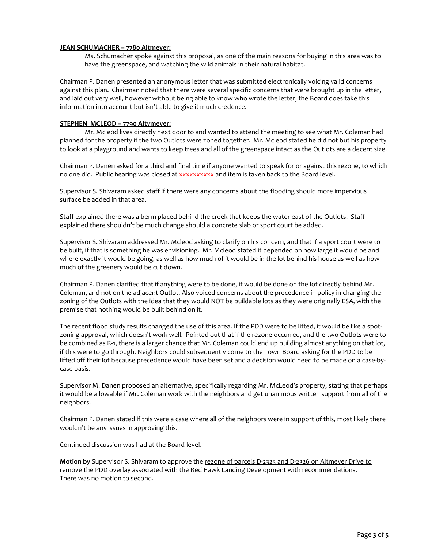#### **JEAN SCHUMACHER – 7780 Altmeyer:**

Ms. Schumacher spoke against this proposal, as one of the main reasons for buying in this area was to have the greenspace, and watching the wild animals in their natural habitat.

Chairman P. Danen presented an anonymous letter that was submitted electronically voicing valid concerns against this plan. Chairman noted that there were several specific concerns that were brought up in the letter, and laid out very well, however without being able to know who wrote the letter, the Board does take this information into account but isn't able to give it much credence.

#### **STEPHEN MCLEOD – 7790 Altymeyer:**

Mr. Mcleod lives directly next door to and wanted to attend the meeting to see what Mr. Coleman had planned for the property if the two Outlots were zoned together. Mr. Mcleod stated he did not but his property to look at a playground and wants to keep trees and all of the greenspace intact as the Outlots are a decent size.

Chairman P. Danen asked for a third and final time if anyone wanted to speak for or against this rezone, to which no one did. Public hearing was closed at xxxxxxxxxx and item is taken back to the Board level.

Supervisor S. Shivaram asked staff if there were any concerns about the flooding should more impervious surface be added in that area.

Staff explained there was a berm placed behind the creek that keeps the water east of the Outlots. Staff explained there shouldn't be much change should a concrete slab or sport court be added.

Supervisor S. Shivaram addressed Mr. Mcleod asking to clarify on his concern, and that if a sport court were to be built, if that is something he was envisioning. Mr. Mcleod stated it depended on how large it would be and where exactly it would be going, as well as how much of it would be in the lot behind his house as well as how much of the greenery would be cut down.

Chairman P. Danen clarified that if anything were to be done, it would be done on the lot directly behind Mr. Coleman, and not on the adjacent Outlot. Also voiced concerns about the precedence in policy in changing the zoning of the Outlots with the idea that they would NOT be buildable lots as they were originally ESA, with the premise that nothing would be built behind on it.

The recent flood study results changed the use of this area. If the PDD were to be lifted, it would be like a spotzoning approval, which doesn't work well. Pointed out that if the rezone occurred, and the two Outlots were to be combined as R-1, there is a larger chance that Mr. Coleman could end up building almost anything on that lot, if this were to go through. Neighbors could subsequently come to the Town Board asking for the PDD to be lifted off their lot because precedence would have been set and a decision would need to be made on a case-bycase basis.

Supervisor M. Danen proposed an alternative, specifically regarding Mr. McLeod's property, stating that perhaps it would be allowable if Mr. Coleman work with the neighbors and get unanimous written support from all of the neighbors.

Chairman P. Danen stated if this were a case where all of the neighbors were in support of this, most likely there wouldn't be any issues in approving this.

Continued discussion was had at the Board level.

**Motion by** Supervisor S. Shivaram to approve the rezone of parcels D-2325 and D-2326 on Altmeyer Drive to remove the PDD overlay associated with the Red Hawk Landing Development with recommendations. There was no motion to second.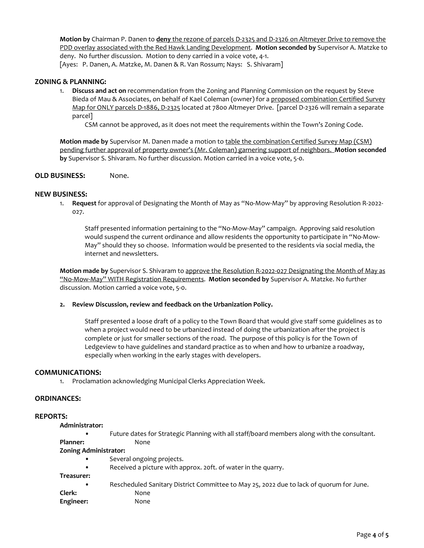**Motion by** Chairman P. Danen to **deny** the rezone of parcels D-2325 and D-2326 on Altmeyer Drive to remove the PDD overlay associated with the Red Hawk Landing Development. **Motion seconded by** Supervisor A. Matzke to deny. No further discussion. Motion to deny carried in a voice vote, 4-1. [Ayes: P. Danen, A. Matzke, M. Danen & R. Van Rossum; Nays: S. Shivaram]

#### **ZONING & PLANNING:**

1. **Discuss and act on** recommendation from the Zoning and Planning Commission on the request by Steve Bieda of Mau & Associates, on behalf of Kael Coleman (owner) for a proposed combination Certified Survey Map for ONLY parcels D-1886, D-2325 located at 7800 Altmeyer Drive. [parcel D-2326 will remain a separate parcel]

CSM cannot be approved, as it does not meet the requirements within the Town's Zoning Code.

**Motion made by** Supervisor M. Danen made a motion to table the combination Certified Survey Map (CSM) pending further approval of property owner's (Mr. Coleman) garnering support of neighbors. **Motion seconded by** Supervisor S. Shivaram. No further discussion. Motion carried in a voice vote, 5-0.

#### **OLD BUSINESS:** None.

#### **NEW BUSINESS:**

1. **Request** for approval of Designating the Month of May as "No-Mow-May" by approving Resolution R-2022- 027.

Staff presented information pertaining to the "No-Mow-May" campaign. Approving said resolution would suspend the current ordinance and allow residents the opportunity to participate in "No-Mow-May" should they so choose. Information would be presented to the residents via social media, the internet and newsletters.

**Motion made by** Supervisor S. Shivaram to approve the Resolution R-2022-027 Designating the Month of May as "No-Mow-May" WITH Registration Requirements. **Motion seconded by** Supervisor A. Matzke. No further discussion. Motion carried a voice vote, 5-0.

#### **2. Review Discussion, review and feedback on the Urbanization Policy.**

Staff presented a loose draft of a policy to the Town Board that would give staff some guidelines as to when a project would need to be urbanized instead of doing the urbanization after the project is complete or just for smaller sections of the road. The purpose of this policy is for the Town of Ledgeview to have guidelines and standard practice as to when and how to urbanize a roadway, especially when working in the early stages with developers.

#### **COMMUNICATIONS:**

1. Proclamation acknowledging Municipal Clerks Appreciation Week.

#### **ORDINANCES:**

#### **REPORTS:**

**Administrator:**

• Future dates for Strategic Planning with all staff/board members along with the consultant. Planner: None

# **Zoning Administrator:**

- Several ongoing projects.
- Received a picture with approx. 20ft. of water in the quarry.

**Treasurer:** 

- Rescheduled Sanitary District Committee to May 25, 2022 due to lack of quorum for June. **Clerk:** None
-